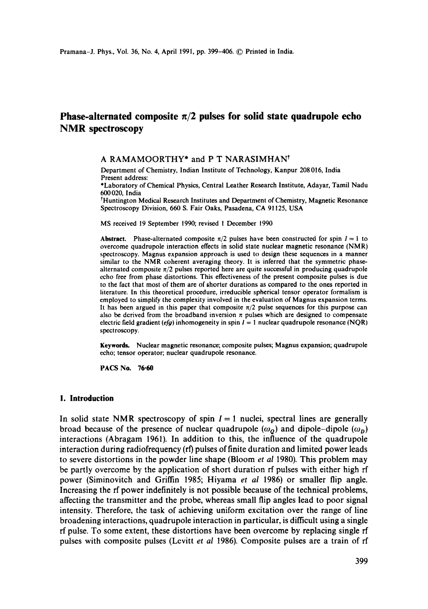# **Phase-alternated composite**  $\pi/2$  **pulses for solid state quadrupole echo NMR spectroscopy**

#### A RAMAMOORTHY<sup>\*</sup> and P T NARASIMHAN<sup>t</sup>

Department of Chemistry, Indian Institute of Technology, Kanpur 208016, India Present address:

\*Laboratory of Chemical Physics, Central Leather Research Institute, Adayar, Tamil Nadu 600020, India

<sup>†</sup>Huntington Medical Research Institutes and Department of Chemistry, Magnetic Resonance Spectroscopy Division, 660 S. Fair Oaks, Pasadena, CA 91125, USA

MS received 19 September 1990; revised 1 December 1990

**Abstract.** Phase-alternated composite  $\pi/2$  pulses have been constructed for spin  $I = 1$  to overcome quadrupole interaction effects in solid state nuclear magnetic resonance (NMR) spectroscopy. Magnus expansion approach is used to design these sequences in a manner similar to the NMR coherent averaging theory. It is inferred that the symmetric phasealternated composite  $\pi/2$  pulses reported here are quite successful in producing quadrupole echo free from phase distortions. This effectiveness of the present composite pulses is due to the fact that most of them are of shorter durations as compared to the ones reported in literature. In this theoretical procedure, irreducible spherical tensor operator formalism is employed to simplify the complexity involved in the evaluation of Magnus expansion terms. It has been argued in this paper that composite  $\pi/2$  pulse sequences for this purpose can also be derived from the broadband inversion  $\pi$  pulses which are designed to compensate electric field gradient *(efg)* inhomogeneity in spin  $I = 1$  nuclear quadrupole resonance (NQR) spectroscopy.

Keywords. Nuclear magnetic resonance; composite pulses; Magnus expansion; quadrupole echo; tensor operator; nuclear quadrupole resonance.

PACS No. **76.60** 

# **1. Introduction**

In solid state NMR spectroscopy of spin  $I = 1$  nuclei, spectral lines are generally broad because of the presence of nuclear quadrupole  $(\omega_o)$  and dipole-dipole  $(\omega_p)$ **interactions (Abragam 1961). In addition to this, the influence of the quadrupole interaction during radiofrequency (rf) pulses of finite duration and limited power leads to severe distortions in the powder line shape (Bloom** *et al* **1980). This problem may be partly overcome by the application of short duration rf pulses with either high rf power (Siminovitch and Griffin 1985; Hiyama** *et al* **1986) or smaller flip angle. Increasing the rf power indefinitely is not possible because of the technical problems, affecting the transmitter and the probe, whereas small flip angles lead to poor signal intensity. Therefore, the task of achieving uniform excitation over the range of line broadening interactions, quadrupole interaction in particular, is difficult using a single rf pulse. To some extent, these distortions have been overcome by replacing single rf pulses with composite pulses (Levitt** *et al* **1986). Composite pulses are a train of rf**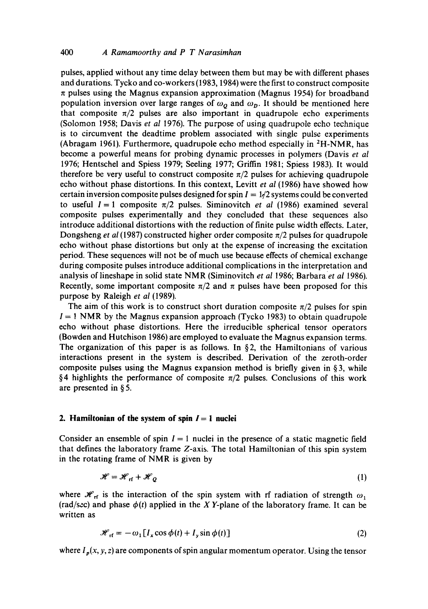pulses, applied without any time delay between them but may be with different phases and durations. Tycko and co-workers (1983, 1984) were the first to construct composite  $\pi$  pulses using the Magnus expansion approximation (Magnus 1954) for broadband population inversion over large ranges of  $\omega<sub>Q</sub>$  and  $\omega<sub>p</sub>$ . It should be mentioned here that composite  $\pi/2$  pulses are also important in quadrupole echo experiments (Solomon 1958; Davis *et al* 1976). The purpose of using quadrupole echo technique is to circumvent the deadtime problem associated with single pulse experiments (Abragam 1961). Furthermore, quadrupole echo method especially in  ${}^{2}$ H-NMR, has become a powerful means for probing dynamic processes in polymers (Davis *et al*  1976; Hentschel and Spiess 1979; Seeling 1977; Griffin 1981; Spiess 1983). It would therefore be very useful to construct composite  $\pi/2$  pulses for achieving quadrupole echo without phase distortions. In this context, Levitt *et al* (1986) have showed how certain inversion composite pulses designed for spin  $I = 1/2$  systems could be converted to useful  $I = 1$  composite  $\pi/2$  pulses. Siminovitch *et al* (1986) examined several composite pulses experimentally and they concluded that these sequences also introduce additional distortions with the reduction of finite pulse width effects. Later, Dongsheng *et al* (1987) constructed higher order composite  $\pi/2$  pulses for quadrupole echo without phase distortions but only at the expense of increasing the excitation period. These sequences will not be of much use because effects of chemical exchange during composite pulses introduce additional complications in the interpretation and analysis of lineshape in solid state NMR (Siminovitch *et al* 1986; Barbara *et al* 1986). Recently, some important composite  $\pi/2$  and  $\pi$  pulses have been proposed for this purpose by Raleigh *et al* (1989).

The aim of this work is to construct short duration composite  $\pi/2$  pulses for spin  $I = 1$  NMR by the Magnus expansion approach (Tycko 1983) to obtain quadrupole echo without phase distortions. Here the irreducible spherical tensor operators (Bowden and Hutchison 1986) are employed to evaluate the Magnus expansion terms. The organization of this paper is as follows. In  $\S$ 2, the Hamiltonians of various interactions present in the system is described. Derivation of the zeroth-order composite pulses using the Magnus expansion method is briefly given in § 3, while §4 highlights the performance of composite  $\pi/2$  pulses. Conclusions of this work are presented in § 5.

### **2. Hamiltonian of the system of spin**  $I = 1$  **nuclei**

Consider an ensemble of spin  $I = 1$  nuclei in the presence of a static magnetic field that defines the laboratory frame Z-axis. The total Hamiltonian of this spin system in the rotating frame of NMR is given by

$$
\mathcal{H} = \mathcal{H}_{\text{rf}} + \mathcal{H}_{Q} \tag{1}
$$

where  $\mathcal{H}_{\text{rf}}$  is the interaction of the spin system with rf radiation of strength  $\omega_1$ (rad/sec) and phase  $\phi(t)$  applied in the X Y-plane of the laboratory frame. It can be written as

$$
\mathcal{H}_{\text{rf}} = -\omega_1 \left[ I_x \cos \phi(t) + I_y \sin \phi(t) \right] \tag{2}
$$

where  $I_p(x, y, z)$  are components of spin angular momentum operator. Using the tensor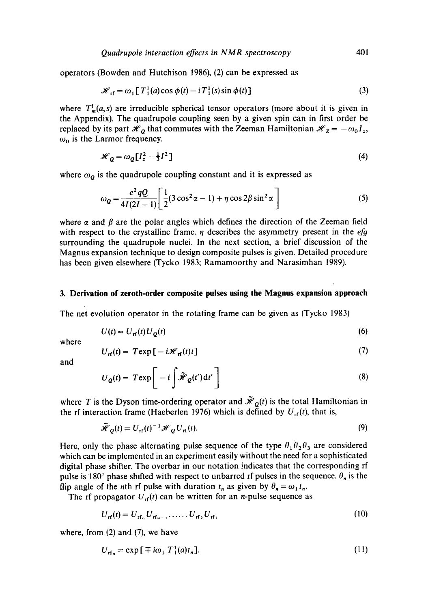operators (Bowden and Hutchison 1986), (2) can be expressed as

$$
\mathcal{H}_{\text{rf}} = \omega_1 [T_1^1(a) \cos \phi(t) - iT_1^1(s) \sin \phi(t)] \tag{3}
$$

where  $T<sub>m</sub><sup>i</sup>(a, s)$  are irreducible spherical tensor operators (more about it is given in the Appendix). The quadrupole coupling seen by a given spin can in first order be replaced by its part  $\mathcal{H}_0$  that commutes with the Zeeman Hamiltonian  $\mathcal{H}_Z = -\omega_0 I_z$ ,  $\omega_0$  is the Larmor frequency.

$$
\mathcal{H}_Q = \omega_Q \left[I_z^2 - \frac{1}{3}I^2\right] \tag{4}
$$

where  $\omega_Q$  is the quadrupole coupling constant and it is expressed as

$$
\omega_Q = \frac{e^2 qQ}{4I(2I - 1)} \left[ \frac{1}{2} (3\cos^2 \alpha - 1) + \eta \cos 2\beta \sin^2 \alpha \right]
$$
 (5)

where  $\alpha$  and  $\beta$  are the polar angles which defines the direction of the Zeeman field with respect to the crystalline frame.  $\eta$  describes the asymmetry present in the *efg* surrounding the quadrupole nuclei. In the next section, a brief discussion of the Magnus expansion technique to design composite pulses is given. Detailed procedure has been given elsewhere (Tycko 1983; Ramamoorthy and Narasimhan 1989).

#### **3. Derivation of zeroth-order composite pulses using the Magnus expansion approach**

The net evolution operator in the rotating frame can be given as (Tycko 1983)

$$
U(t) = U_{\rm rf}(t) U_Q(t) \tag{6}
$$

where

$$
U_{\rm rf}(t) = T \exp\left[-i\mathcal{H}_{\rm rf}(t)t\right] \tag{7}
$$

and

$$
U_Q(t) = T \exp\bigg[-i\int \tilde{\mathcal{H}}_Q(t') dt'\bigg]
$$
\n(8)

where T is the Dyson time-ordering operator and  $\tilde{H}_0(t)$  is the total Hamiltonian in the rf interaction frame (Haeberlen 1976) which is defined by  $U_{\text{rf}}(t)$ , that is,

$$
\tilde{\mathcal{H}}_{Q}(t) = U_{\rm rf}(t)^{-1} \mathcal{H}_{Q} U_{\rm rf}(t). \tag{9}
$$

Here, only the phase alternating pulse sequence of the type  $\theta_1 \overline{\theta}_2 \theta_3$  are considered which can be implemented in an experiment easily without the need for a sophisticated digital phase shifter. The overbar in our notation indicates that the corresponding rf pulse is 180<sup>°</sup> phase shifted with respect to unbarred rf pulses in the sequence.  $\theta_n$  is the flip angle of the nth rf pulse with duration  $t_n$  as given by  $\theta_n = \omega_1 t_n$ .

The rf propagator  $U_{\text{rf}}(t)$  can be written for an *n*-pulse sequence as

$$
U_{\rm rf}(t) = U_{\rm rf}_{\rm rf} U_{\rm rf}_{\rm r-1} \, \ldots \, U_{\rm rf}_2 U_{\rm rf}_1 \tag{10}
$$

where, from (2) and (7), we have

$$
U_{\mathbf{rf}_n} = \exp\left[\mp i\omega_1 T_1^1(a)t_n\right].\tag{11}
$$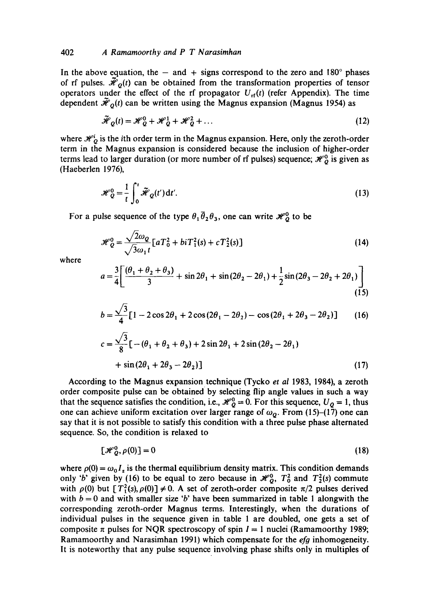#### 402 *A Ramamoorthy and P T Narasimhan*

In the above equation, the  $-$  and  $+$  signs correspond to the zero and 180 $^{\circ}$  phases of rf pulses.  $\tilde{H}_0(t)$  can be obtained from the transformation properties of tensor operators under the effect of the rf propagator  $U_{\text{rf}}(t)$  (refer Appendix). The time dependent  $\bar{\mathcal{H}}_0(t)$  can be written using the Magnus expansion (Magnus 1954) as

$$
\tilde{\mathcal{H}}_Q(t) = \mathcal{H}_Q^0 + \mathcal{H}_Q^1 + \mathcal{H}_Q^2 + \dots
$$
\n(12)

where  $\mathcal{H}'_Q$  is the ith order term in the Magnus expansion. Here, only the zeroth-order term in the Magnus expansion is considered because the inclusion of higher-order terms lead to larger duration (or more number of rf pulses) sequence;  $\mathcal{H}_Q^0$  is given as (Haeberlen 1976),

$$
\mathcal{H}_Q^0 = \frac{1}{t} \int_0^t \widetilde{\mathcal{H}}_Q(t') dt'.
$$
 (13)

For a pulse sequence of the type  $\theta_1 \overline{\theta}_2 \theta_3$ , one can write  $\mathcal{H}_Q^0$  to be

$$
\mathcal{H}_Q^0 = \frac{\sqrt{2\omega_Q}}{\sqrt{3\omega_1 t}} \left[ aT_0^2 + biT_1^2(s) + cT_2^2(s) \right]
$$
 (14)

where

$$
a = \frac{3}{4} \left[ \frac{(\theta_1 + \theta_2 + \theta_3)}{3} + \sin 2\theta_1 + \sin (2\theta_2 - 2\theta_1) + \frac{1}{2} \sin (2\theta_3 - 2\theta_2 + 2\theta_1) \right]
$$
(15)

$$
b = \frac{\sqrt{3}}{4} [1 - 2\cos 2\theta_1 + 2\cos (2\theta_1 - 2\theta_2) - \cos (2\theta_1 + 2\theta_3 - 2\theta_2)] \tag{16}
$$

$$
c = \frac{\sqrt{3}}{8} \left[ -(\theta_1 + \theta_2 + \theta_3) + 2\sin 2\theta_1 + 2\sin (2\theta_2 - 2\theta_1) \right. \\ + \sin (2\theta_1 + 2\theta_3 - 2\theta_2) \right]
$$
 (17)

According to the Magnus expansion technique (Tycko *et al* 1983, 1984), a zeroth order composite pulse can be obtained by selecting flip angle values in such a way that the sequence satisfies the condition, i.e.,  $\mathcal{H}_{Q}^{0} = 0$ . For this sequence,  $U_{Q} = 1$ , thus one can achieve uniform excitation over larger range of  $\omega_{\mathbf{Q}}$ . From (15)-(17) one can say that it is not possible to satisfy this condition with a three pulse phase alternated sequence. So, the condition is relaxed to

$$
\left[\mathcal{H}_Q^0, \rho(0)\right] = 0\tag{18}
$$

where  $\rho(0) = \omega_0 I_z$  is the thermal equilibrium density matrix. This condition demands only 'b' given by (16) to be equal to zero because in  $\mathcal{H}_Q^0$ ,  $T_0^2$  and  $T_2^2(s)$  commute with  $\rho(0)$  but  $[T_1^2(s), \rho(0)] \neq 0$ . A set of zeroth-order composite  $\pi/2$  pulses derived with  $b = 0$  and with smaller size 'b' have been summarized in table 1 alongwith the corresponding zeroth-order Magnus terms. Interestingly, when the durations of individual pulses in the sequence given in table 1 are doubled, one gets a set of composite  $\pi$  pulses for NQR spectroscopy of spin  $I = 1$  nuclei (Ramamoorthy 1989; Ramamoorthy and Narasimhan 1991) which compensate for the *efg* inhomogeneity. It is noteworthy that any pulse sequence involving phase shifts only in multiples of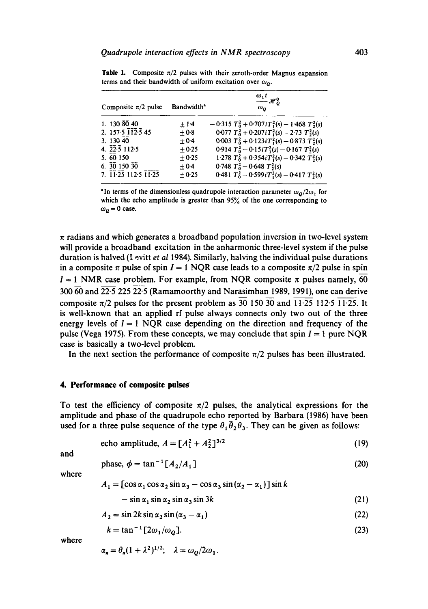| Composite $\pi/2$ pulse                                         | Bandwidth <sup>®</sup> | $\omega_1 t$<br>$-x_0^0$<br>$\omega_o$                      |
|-----------------------------------------------------------------|------------------------|-------------------------------------------------------------|
| 1. 130 $\overline{80}$ 40                                       | $+1.4$                 | $-0.315 T_0^2 + 0.707 i T_1^2(s) - 1.468 T_2^2(s)$          |
| 2. 157.5 $\overline{112}$ .5 45                                 | $+0.8$                 | $0.077 T_0^2 + 0.207 i T_1^2(s) - 2.73 T_2^2(s)$            |
| 3.13040                                                         | $+0.4$                 | $0.003 T_0^2 + 0.123iT_1^2(s) - 0.873 T_2^2(s)$             |
| 4. $22.5$ 112.5                                                 | $+0.25$                | 0.914 $T_0^2$ - 0.15 <i>i</i> $T_1^2(s)$ - 0.167 $T_2^2(s)$ |
| 5.60150                                                         | $+0.25$                | 1.278 $T_0^2 + 0.354iT_1^2(s) - 0.342T_2^2(s)$              |
| $6. \ \overline{30}$ 150 $\overline{30}$                        | $\pm 0.4$              | $0.748 T_0^2 - 0.648 T_2^2(s)$                              |
| $7. \ \overline{11} \ \overline{25} \ 112.5 \ \overline{11.25}$ | $+0.25$                | 0.481 $T_0^2 - 0.599iT_1^2(s) - 0.417T_2^2(s)$              |

**Table 1.** Composite  $\pi/2$  pulses with their zeroth-order Magnus expansion terms and their bandwidth of uniform excitation over  $\omega_o$ .

<sup>a</sup>In terms of the dimensionless quadrupole interaction parameter  $\omega_o/2\omega_1$  for which the echo amplitude is greater than 95% of the one corresponding to  $\omega_0 = 0$  case.

 $\pi$  radians and which generates a broadband population inversion in two-level system will provide a broadband excitation in the anharmonic three-level system if the pulse duration is halved (I. evitt *et al* 1984). Similarly, halving the individual pulse durations in a composite  $\pi$  pulse of spin  $I = 1$  NQR case leads to a composite  $\pi/2$  pulse in spin  $I = 1$  NMR case problem. For example, from NQR composite  $\pi$  pulses namely, 60  $300\overline{60}$  and  $\overline{22.5}$   $225\overline{22.5}$  (Ramamoorthy and Narasimhan 1989, 1991), one can derive composite  $\pi/2$  pulses for the present problem as 30 150 30 and 11.25 11.25 11.25. It is well-known that an applied rf pulse always connects only two out of the three energy levels of  $I = 1$  NQR case depending on the direction and frequency of the pulse (Vega 1975). From these concepts, we may conclude that spin  $I = 1$  pure NQR case is basically a two-level problem.

In the next section the performance of composite  $\pi/2$  pulses has been illustrated.

#### **4. Performance of composite pulses**

To test the efficiency of composite  $\pi/2$  pulses, the analytical expressions for the amplitude and phase of the quadrupole echo reported by Barbara (1986) have been used for a three pulse sequence of the type  $\theta_1 \overline{\theta}_2 \theta_3$ . They can be given as follows:

echo amplitude, 
$$
A = [A_1^2 + A_2^2]^{3/2}
$$
 (19)

and

$$
\text{phase, } \phi = \tan^{-1} \left[ A_2 / A_1 \right] \tag{20}
$$

where

$$
A_1 = [\cos \alpha_1 \cos \alpha_2 \sin \alpha_3 - \cos \alpha_3 \sin (\alpha_2 - \alpha_1)] \sin k
$$
  
- 
$$
\sin \alpha_1 \sin \alpha_2 \sin \alpha_3 \sin 3k
$$
 (21)

$$
A_2 = \sin 2k \sin \alpha_2 \sin (\alpha_3 - \alpha_1) \tag{22}
$$

$$
k = \tan^{-1} \left[ 2\omega_1 / \omega_2 \right]. \tag{23}
$$

where

$$
\alpha_n = \theta_n (1 + \lambda^2)^{1/2}; \quad \lambda = \omega_Q / 2 \omega_1.
$$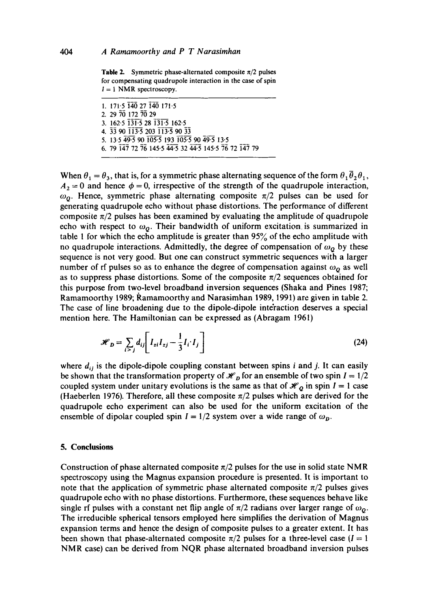**Table 2.** Symmetric phase-alternated composite  $\pi/2$  pulses for compensating quadrupole interaction in the case of spin  $1 = 1$  NMR spectroscopy.

1. 171.5 140 27 140 171.5 2. 29 70 172 78 29 3. 162.5 131.5 28 131.5 162.5 4. 33 90 113-5 203 113-5 90 33 5. 13-5 49-5 90 i05.5 193 105.5 90 49.5 13.5 6. 79 i4,7 72 7g 145-5 44-5 32 44.5 145-5 76 72 i47 79

When  $\theta_1 = \theta_3$ , that is, for a symmetric phase alternating sequence of the form  $\theta_1 \overline{\theta}_2 \theta_1$ ,  $A_2 = 0$  and hence  $\phi = 0$ , irrespective of the strength of the quadrupole interaction,  $\omega<sub>0</sub>$ . Hence, symmetric phase alternating composite  $\pi/2$  pulses can be used for generating quadrupole echo without phase distortions. The performance of different composite  $\pi/2$  pulses has been examined by evaluating the amplitude of quadrupole echo with respect to  $\omega<sub>Q</sub>$ . Their bandwidth of uniform excitation is summarized in table 1 for which the echo amplitude is greater than 95% of the echo amplitude with no quadrupole interactions. Admittedly, the degree of compensation of  $\omega<sub>o</sub>$  by these sequence is not very good. But one can construct symmetric sequences with a larger number of rf pulses so as to enhance the degree of compensation against  $\omega_0$  as well as to suppress phase distortions. Some of the composite  $\pi/2$  sequences obtained for this purpose from two-level broadband inversion sequences (Shaka and Pines 1987; Ramamoorthy 1989; Ramamoorthy and Narasimhan 1989, 1991) are given in table 2. The case of line broadening due to the dipole-dipole interaction deserves a special mention here. The Hamiltonian can be expressed as (Abragam 1961)

$$
\mathcal{H}_D = \sum_{i > j} d_{ij} \left[ I_{zi} I_{zj} - \frac{1}{3} I_i \cdot I_j \right]
$$
 (24)

where  $d_{ij}$  is the dipole-dipole coupling constant between spins i and j. It can easily be shown that the transformation property of  $\mathcal{H}_D$  for an ensemble of two spin  $I = 1/2$ coupled system under unitary evolutions is the same as that of  $\mathcal{H}_0$  in spin  $I = 1$  case (Haeberlen 1976). Therefore, all these composite  $\pi/2$  pulses which are derived for the quadrupole echo experiment can also be used for the uniform excitation of the ensemble of dipolar coupled spin  $I = 1/2$  system over a wide range of  $\omega_p$ .

#### **5. Conclusions**

Construction of phase alternated composite  $\pi/2$  pulses for the use in solid state NMR spectroscopy using the Magnus expansion procedure is presented. It is important to note that the application of symmetric phase alternated composite  $\pi/2$  pulses gives quadrupole echo with no phase distortions. Furthermore, these sequences behave like single rf pulses with a constant net flip angle of  $\pi/2$  radians over larger range of  $\omega_0$ . The irreducible spherical tensors employed here simplifies the derivation of Magnus expansion terms and hence the design of composite pulses to a greater extent. It has been shown that phase-alternated composite  $\pi/2$  pulses for a three-level case  $(I = 1$ NMR case) can be derived from NQR phase alternated broadband inversion pulses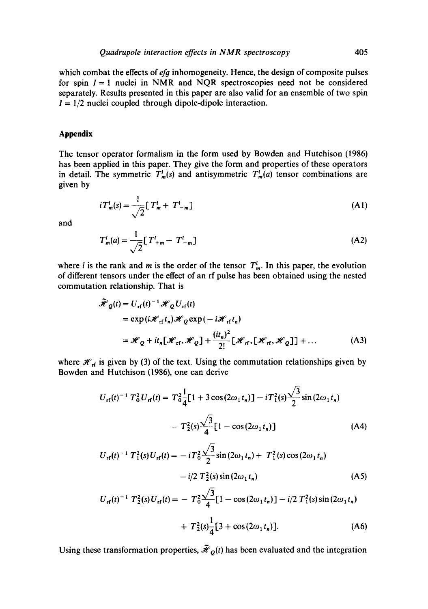which combat the effects of *efg* inhomogeneity. Hence, the design of composite pulses for spin  $I = 1$  nuclei in NMR and NQR spectroscopies need not be considered separately. Results presented in this paper are also valid for an ensemble of two spin  $I = 1/2$  nuclei coupled through dipole-dipole interaction.

## **Appendix**

The tensor operator formalism in the form used by Bowden and Hutchison (1986) has been applied in this paper. They give the form and properties of these operators in detail. The symmetric  $T_m^l(s)$  and antisymmetric  $T_m^l(a)$  tensor combinations are given by

$$
i T_m^l(s) = \frac{1}{\sqrt{2}} [T_m^l + T_{-m}^l]
$$
 (A1)

and

$$
T_m^l(a) = \frac{1}{\sqrt{2}} [T_{+m}^l - T_{-m}^l]
$$
 (A2)

where l is the rank and m is the order of the tensor  $T<sub>m</sub><sup>l</sup>$ . In this paper, the evolution of different tensors under the effect of an rf pulse has been obtained using the nested commutation relationship. That is

$$
\tilde{\mathcal{H}}_{Q}(t) = U_{\rm rf}(t)^{-1} \mathcal{H}_{Q} U_{\rm rf}(t)
$$
\n
$$
= \exp(i \mathcal{H}_{\rm rf} t_n) \mathcal{H}_{Q} \exp(-i \mathcal{H}_{\rm rf} t_n)
$$
\n
$$
= \mathcal{H}_{Q} + it_{n} [\mathcal{H}_{\rm rf}, \mathcal{H}_{Q}] + \frac{(it_{n})^{2}}{2!} [\mathcal{H}_{\rm rf}, [\mathcal{H}_{\rm rf}, \mathcal{H}_{Q}]] + \dots
$$
\n(A3)

where  $H_{rf}$  is given by (3) of the text. Using the commutation relationships given by Bowden and Hutchison (1986), one can derive

$$
U_{\mathbf{rf}}(t)^{-1} T_0^2 U_{\mathbf{rf}}(t) = T_0^2 \frac{1}{4} [1 + 3 \cos(2\omega_1 t_n)] - iT_1^2(s) \frac{\sqrt{3}}{2} \sin(2\omega_1 t_n)
$$

$$
- T_2^2(s) \frac{\sqrt{3}}{4} [1 - \cos(2\omega_1 t_n)] \tag{A4}
$$

$$
U_{\mathbf{rf}}(t)^{-1} T_1^2(s) U_{\mathbf{rf}}(t) = -i T_0^2 \frac{\sqrt{3}}{2} \sin (2\omega_1 t_n) + T_1^2(s) \cos (2\omega_1 t_n)
$$
  
-  $i/2 T_2^2(s) \sin (2\omega_1 t_n)$  (A5)

$$
U_{\text{rf}}(t)^{-1} T_2^2(s) U_{\text{rf}}(t) = - T_0^2 \frac{\sqrt{3}}{4} [1 - \cos(2\omega_1 t_n)] - i/2 T_1^2(s) \sin(2\omega_1 t_n)
$$

+ 
$$
T_2^2(s) \frac{1}{4} [3 + \cos(2\omega_1 t_n)].
$$
 (A6)

Using these transformation properties,  $\tilde{\mathcal{H}}_Q(t)$  has been evaluated and the integration